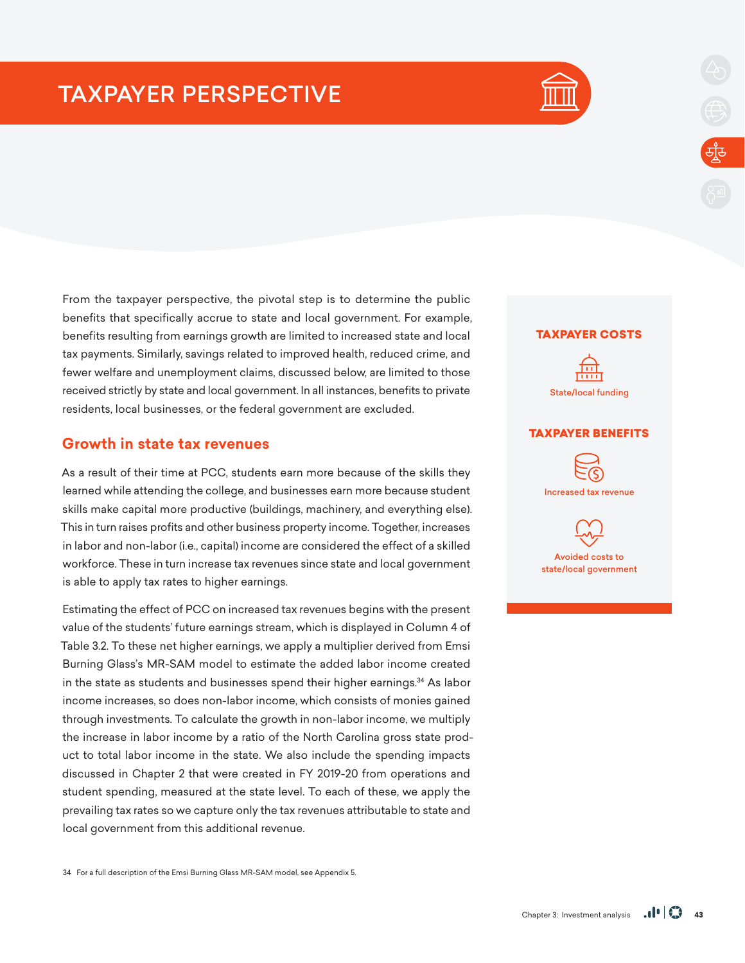# TAXPAYER PERSPECTIVE



From the taxpayer perspective, the pivotal step is to determine the public benefits that specifically accrue to state and local government. For example, benefits resulting from earnings growth are limited to increased state and local tax payments. Similarly, savings related to improved health, reduced crime, and fewer welfare and unemployment claims, discussed below, are limited to those received strictly by state and local government. In all instances, benefits to private residents, local businesses, or the federal government are excluded.

## **Growth in state tax revenues**

As a result of their time at PCC, students earn more because of the skills they learned while attending the college, and businesses earn more because student skills make capital more productive (buildings, machinery, and everything else). This in turn raises profits and other business property income. Together, increases in labor and non-labor (i.e., capital) income are considered the effect of a skilled workforce. These in turn increase tax revenues since state and local government is able to apply tax rates to higher earnings.

Estimating the effect of PCC on increased tax revenues begins with the present value of the students' future earnings stream, which is displayed in Column 4 of Table 3.2. To these net higher earnings, we apply a multiplier derived from Emsi Burning Glass's MR-SAM model to estimate the added labor income created in the state as students and businesses spend their higher earnings.<sup>34</sup> As labor income increases, so does non-labor income, which consists of monies gained through investments. To calculate the growth in non-labor income, we multiply the increase in labor income by a ratio of the North Carolina gross state product to total labor income in the state. We also include the spending impacts discussed in Chapter 2 that were created in FY 2019-20 from operations and student spending, measured at the state level. To each of these, we apply the prevailing tax rates so we capture only the tax revenues attributable to state and local government from this additional revenue.

### TAXPAYER COSTS



#### TAXPAYER BENEFITS



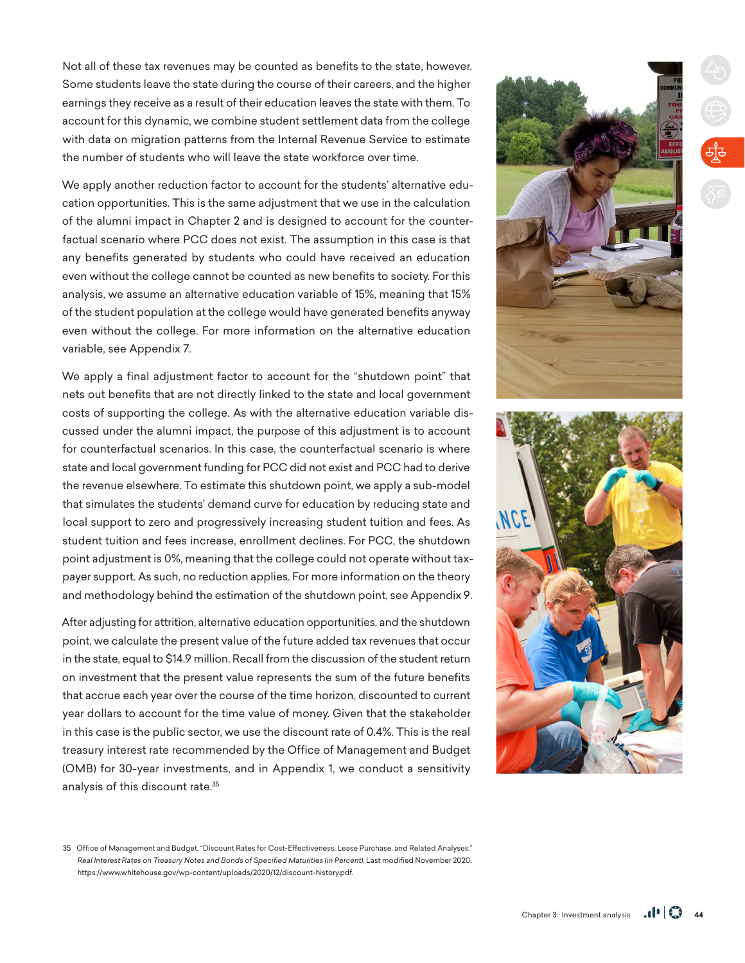Not all of these tax revenues may be counted as benefits to the state, however. Some students leave the state during the course of their careers, and the higher earnings they receive as a result of their education leaves the state with them. To account for this dynamic, we combine student settlement data from the college with data on migration patterns from the Internal Revenue Service to estimate the number of students who will leave the state workforce over time.

We apply another reduction factor to account for the students' alternative education opportunities. This is the same adjustment that we use in the calculation of the alumni impact in Chapter 2 and is designed to account for the counterfactual scenario where PCC does not exist. The assumption in this case is that any benefits generated by students who could have received an education even without the college cannot be counted as new benefits to society. For this analysis, we assume an alternative education variable of 15%, meaning that 15% of the student population at the college would have generated benefits anyway even without the college. For more information on the alternative education variable, see Appendix 7.

We apply a final adjustment factor to account for the "shutdown point" that nets out benefits that are not directly linked to the state and local government costs of supporting the college. As with the alternative education variable discussed under the alumni impact, the purpose of this adjustment is to account for counterfactual scenarios. In this case, the counterfactual scenario is where state and local government funding for PCC did not exist and PCC had to derive the revenue elsewhere. To estimate this shutdown point, we apply a sub-model that simulates the students' demand curve for education by reducing state and local support to zero and progressively increasing student tuition and fees. As student tuition and fees increase, enrollment declines. For PCC, the shutdown point adjustment is 0%, meaning that the college could not operate without taxpayer support. As such, no reduction applies. For more information on the theory and methodology behind the estimation of the shutdown point, see Appendix 9.

After adjusting for attrition, alternative education opportunities, and the shutdown point, we calculate the present value of the future added tax revenues that occur in the state, equal to \$14.9 million. Recall from the discussion of the student return on investment that the present value represents the sum of the future benefits that accrue each year over the course of the time horizon, discounted to current year dollars to account for the time value of money. Given that the stakeholder in this case is the public sector, we use the discount rate of 0.4%. This is the real treasury interest rate recommended by the Office of Management and Budget (OMB) for 30-year investments, and in Appendix 1, we conduct a sensitivity analysis of this discount rate.35



35 Office of Management and Budget. "Discount Rates for Cost-Effectiveness, Lease Purchase, and Related Analyses." *Real Interest Rates on Treasury Notes and Bonds of Specified Maturities (in Percent)*. Last modified November 2020. https://www.whitehouse.gov/wp-content/uploads/2020/12/discount-history.pdf.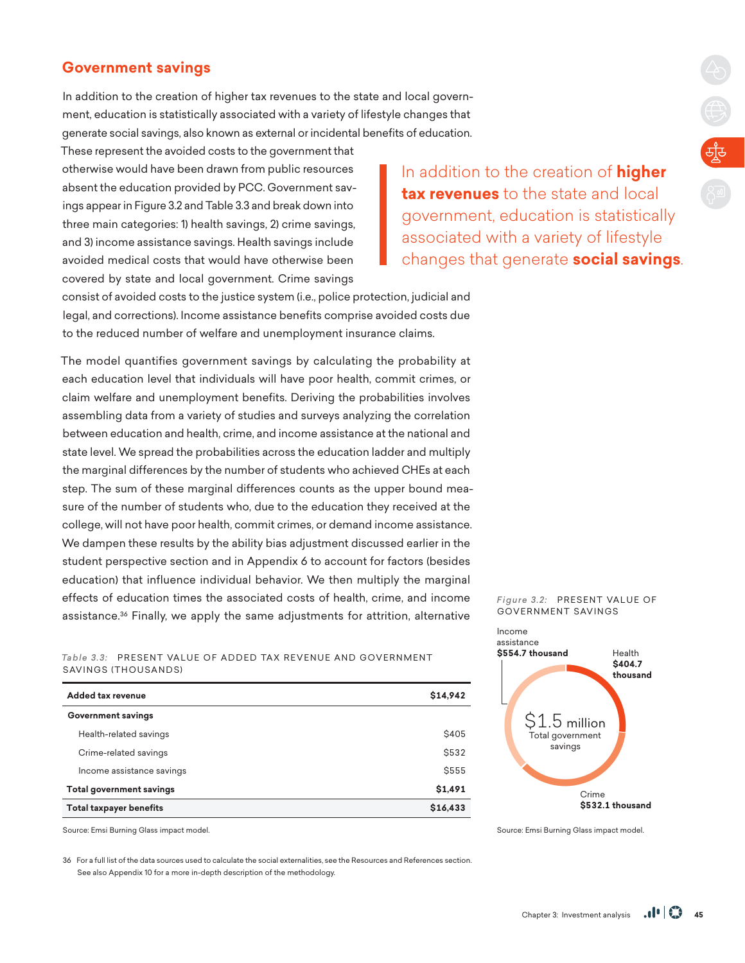# **Government savings**

In addition to the creation of higher tax revenues to the state and local government, education is statistically associated with a variety of lifestyle changes that generate social savings, also known as external or incidental benefits of education.

These represent the avoided costs to the government that otherwise would have been drawn from public resources absent the education provided by PCC. Government savings appear in Figure 3.2 and Table 3.3 and break down into three main categories: 1) health savings, 2) crime savings, and 3) income assistance savings. Health savings include avoided medical costs that would have otherwise been covered by state and local government. Crime savings

In addition to the creation of **higher tax revenues** to the state and local government, education is statistically associated with a variety of lifestyle changes that generate **social savings**.

consist of avoided costs to the justice system (i.e., police protection, judicial and legal, and corrections). Income assistance benefits comprise avoided costs due to the reduced number of welfare and unemployment insurance claims.

The model quantifies government savings by calculating the probability at each education level that individuals will have poor health, commit crimes, or claim welfare and unemployment benefits. Deriving the probabilities involves assembling data from a variety of studies and surveys analyzing the correlation between education and health, crime, and income assistance at the national and state level. We spread the probabilities across the education ladder and multiply the marginal differences by the number of students who achieved CHEs at each step. The sum of these marginal differences counts as the upper bound measure of the number of students who, due to the education they received at the college, will not have poor health, commit crimes, or demand income assistance. We dampen these results by the ability bias adjustment discussed earlier in the student perspective section and in Appendix 6 to account for factors (besides education) that influence individual behavior. We then multiply the marginal effects of education times the associated costs of health, crime, and income assistance.<sup>36</sup> Finally, we apply the same adjustments for attrition, alternative

#### Table 3.3: PRESENT VALUE OF ADDED TAX REVENUE AND GOVERNMENT SAVINGS (THOUSANDS)

| Added tax revenue               | \$14,942     |
|---------------------------------|--------------|
| <b>Government savings</b>       |              |
| Health-related savings          | <b>\$405</b> |
| Crime-related savings           | <b>\$532</b> |
| Income assistance savings       | \$555        |
| <b>Total government savings</b> | \$1,491      |
| <b>Total taxpayer benefits</b>  | \$16,433     |

Source: Emsi Burning Glass impact model.

36 For a full list of the data sources used to calculate the social externalities, see the Resources and References section. See also Appendix 10 for a more in-depth description of the methodology.

#### Figure 3.2: PRESENT VALUE OF GOVERNMENT SAVINGS



Source: Emsi Burning Glass impact model.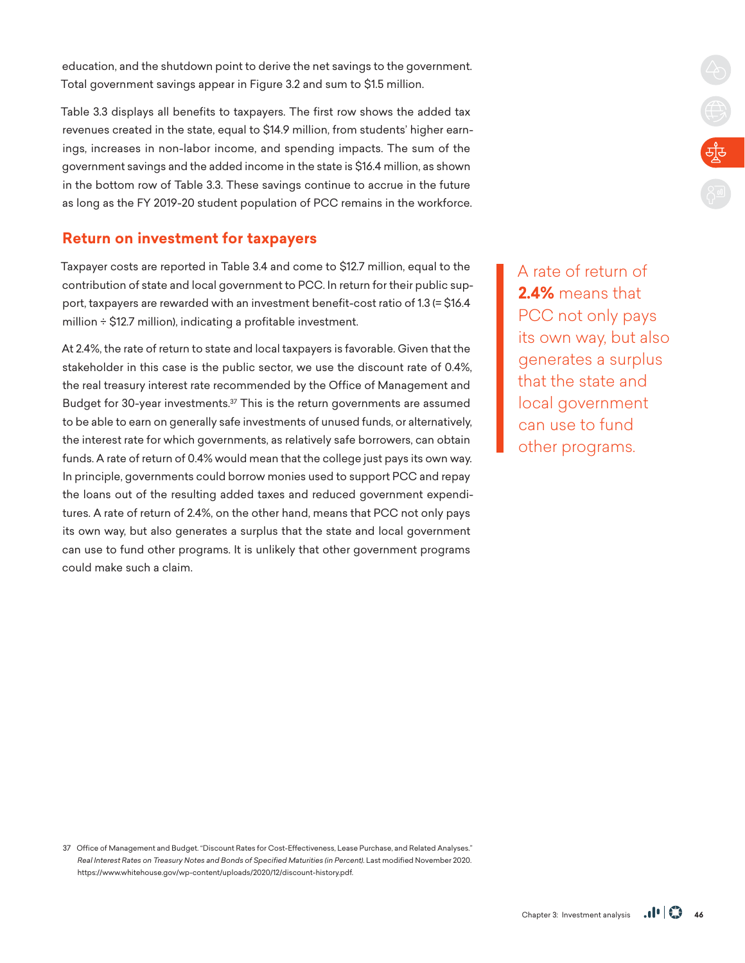education, and the shutdown point to derive the net savings to the government. Total government savings appear in Figure 3.2 and sum to \$1.5 million.

Table 3.3 displays all benefits to taxpayers. The first row shows the added tax revenues created in the state, equal to \$14.9 million, from students' higher earnings, increases in non-labor income, and spending impacts. The sum of the government savings and the added income in the state is \$16.4 million, as shown in the bottom row of Table 3.3. These savings continue to accrue in the future as long as the FY 2019-20 student population of PCC remains in the workforce.

## **Return on investment for taxpayers**

Taxpayer costs are reported in Table 3.4 and come to \$12.7 million, equal to the contribution of state and local government to PCC. In return for their public support, taxpayers are rewarded with an investment benefit-cost ratio of 1.3 (= \$16.4 million ÷ \$12.7 million), indicating a profitable investment.

At 2.4%, the rate of return to state and local taxpayers is favorable. Given that the stakeholder in this case is the public sector, we use the discount rate of 0.4%, the real treasury interest rate recommended by the Office of Management and Budget for 30-year investments.37 This is the return governments are assumed to be able to earn on generally safe investments of unused funds, or alternatively, the interest rate for which governments, as relatively safe borrowers, can obtain funds. A rate of return of 0.4% would mean that the college just pays its own way. In principle, governments could borrow monies used to support PCC and repay the loans out of the resulting added taxes and reduced government expenditures. A rate of return of 2.4%, on the other hand, means that PCC not only pays its own way, but also generates a surplus that the state and local government can use to fund other programs. It is unlikely that other government programs could make such a claim.

A rate of return of **2.4%** means that PCC not only pays its own way, but also generates a surplus that the state and local government can use to fund other programs.

**CARGE** 

37 Office of Management and Budget. "Discount Rates for Cost-Effectiveness, Lease Purchase, and Related Analyses." *Real Interest Rates on Treasury Notes and Bonds of Specified Maturities (in Percent)*. Last modified November 2020. https://www.whitehouse.gov/wp-content/uploads/2020/12/discount-history.pdf.